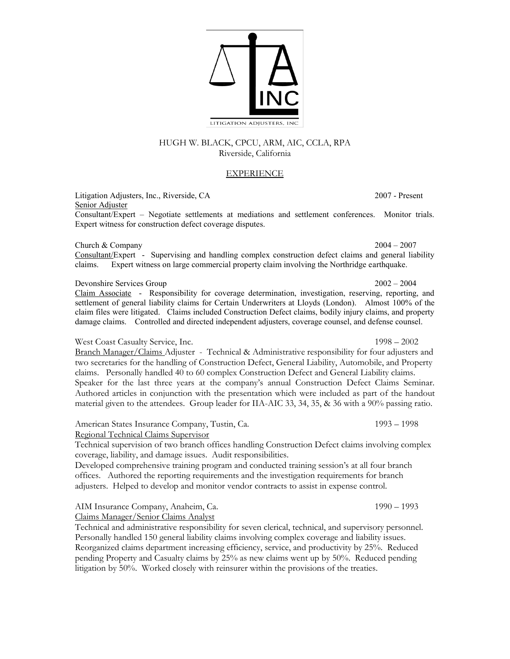HUGH W. BLACK, CPCU, ARM, AIC, CCLA, RPA Riverside, California

## EXPERIENCE

Litigation Adjusters, Inc., Riverside, CA 2007 - Present Senior Adjuster Consultant/Expert – Negotiate settlements at mediations and settlement conferences. Monitor trials. Expert witness for construction defect coverage disputes.

Church & Company 2004 – 2007

Consultant/Expert - Supervising and handling complex construction defect claims and general liability claims. Expert witness on large commercial property claim involving the Northridge earthquake.

### Devonshire Services Group 2002 – 2004

Claim Associate - Responsibility for coverage determination, investigation, reserving, reporting, and settlement of general liability claims for Certain Underwriters at Lloyds (London). Almost 100% of the claim files were litigated. Claims included Construction Defect claims, bodily injury claims, and property damage claims. Controlled and directed independent adjusters, coverage counsel, and defense counsel.

### West Coast Casualty Service, Inc. 1998 – 2002

Branch Manager/Claims Adjuster - Technical & Administrative responsibility for four adjusters and two secretaries for the handling of Construction Defect, General Liability, Automobile, and Property claims. Personally handled 40 to 60 complex Construction Defect and General Liability claims. Speaker for the last three years at the company's annual Construction Defect Claims Seminar. Authored articles in conjunction with the presentation which were included as part of the handout material given to the attendees. Group leader for IIA-AIC 33, 34, 35, & 36 with a 90% passing ratio.

American States Insurance Company, Tustin, Ca. 1993 – 1998 – 1998 Regional Technical Claims Supervisor

Technical supervision of two branch offices handling Construction Defect claims involving complex coverage, liability, and damage issues. Audit responsibilities.

Developed comprehensive training program and conducted training session's at all four branch offices. Authored the reporting requirements and the investigation requirements for branch adjusters. Helped to develop and monitor vendor contracts to assist in expense control.

AIM Insurance Company, Anaheim, Ca. 1990 – 1993 Claims Manager/Senior Claims Analyst

Technical and administrative responsibility for seven clerical, technical, and supervisory personnel. Personally handled 150 general liability claims involving complex coverage and liability issues. Reorganized claims department increasing efficiency, service, and productivity by 25%. Reduced pending Property and Casualty claims by 25% as new claims went up by 50%. Reduced pending litigation by 50%. Worked closely with reinsurer within the provisions of the treaties.

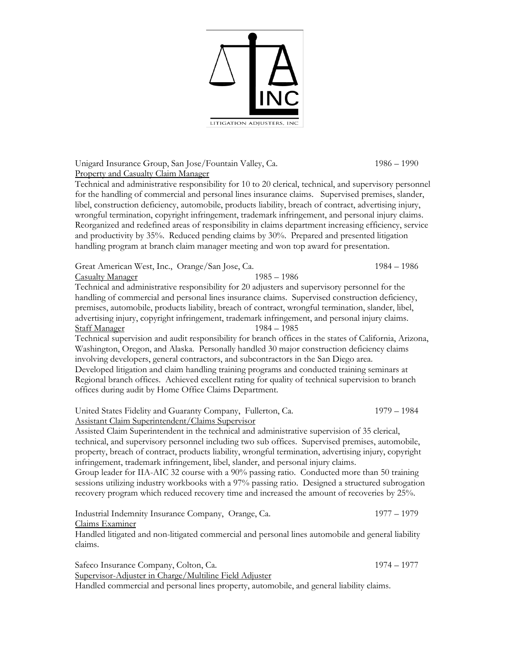

Unigard Insurance Group, San Jose/Fountain Valley, Ca. 1986 – 1990 Property and Casualty Claim Manager

Technical and administrative responsibility for 10 to 20 clerical, technical, and supervisory personnel for the handling of commercial and personal lines insurance claims. Supervised premises, slander, libel, construction deficiency, automobile, products liability, breach of contract, advertising injury, wrongful termination, copyright infringement, trademark infringement, and personal injury claims. Reorganized and redefined areas of responsibility in claims department increasing efficiency, service and productivity by 35%. Reduced pending claims by 30%. Prepared and presented litigation handling program at branch claim manager meeting and won top award for presentation.

Great American West, Inc., Orange/San Jose, Ca. 1984 – 1986 Casualty Manager 1985 – 1986 Technical and administrative responsibility for 20 adjusters and supervisory personnel for the handling of commercial and personal lines insurance claims. Supervised construction deficiency, premises, automobile, products liability, breach of contract, wrongful termination, slander, libel, advertising injury, copyright infringement, trademark infringement, and personal injury claims. Staff Manager 1984 – 1985 Technical supervision and audit responsibility for branch offices in the states of California, Arizona,

Washington, Oregon, and Alaska. Personally handled 30 major construction deficiency claims involving developers, general contractors, and subcontractors in the San Diego area. Developed litigation and claim handling training programs and conducted training seminars at Regional branch offices. Achieved excellent rating for quality of technical supervision to branch offices during audit by Home Office Claims Department.

United States Fidelity and Guaranty Company, Fullerton, Ca. 1979 – 1984 Assistant Claim Superintendent/Claims Supervisor

Assisted Claim Superintendent in the technical and administrative supervision of 35 clerical, technical, and supervisory personnel including two sub offices. Supervised premises, automobile, property, breach of contract, products liability, wrongful termination, advertising injury, copyright infringement, trademark infringement, libel, slander, and personal injury claims.

Group leader for IIA-AIC 32 course with a 90% passing ratio. Conducted more than 50 training sessions utilizing industry workbooks with a 97% passing ratio. Designed a structured subrogation recovery program which reduced recovery time and increased the amount of recoveries by 25%.

Industrial Indemnity Insurance Company, Orange, Ca. 1977 – 1979 Claims Examiner

Handled litigated and non-litigated commercial and personal lines automobile and general liability claims.

Safeco Insurance Company, Colton, Ca. 1974 – 1977

Supervisor-Adjuster in Charge/Multiline Field Adjuster

Handled commercial and personal lines property, automobile, and general liability claims.